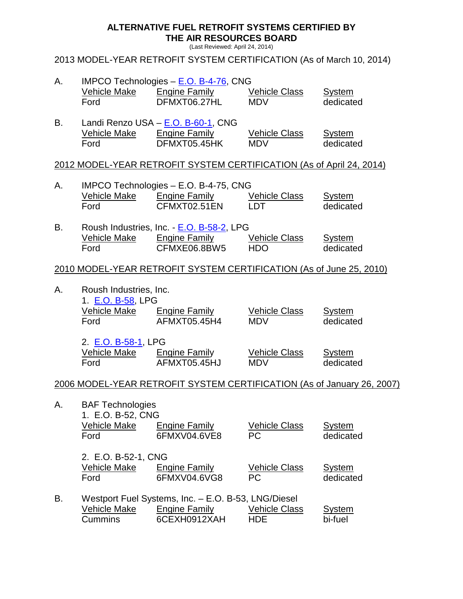### **ALTERNATIVE FUEL RETROFIT SYSTEMS CERTIFIED BY THE AIR RESOURCES BOARD**

(Last Reviewed: April 24, 2014)

### 2013 MODEL-YEAR RETROFIT SYSTEM CERTIFICATION (As of March 10, 2014)

| Α.        | Vehicle Make<br>Ford                                                        | IMPCO Technologies - E.O. B-4-76, CNG<br><b>Engine Family</b><br>DFMXT06.27HL               | <b>Vehicle Class</b><br><b>MDV</b> | <b>System</b><br>dedicated |
|-----------|-----------------------------------------------------------------------------|---------------------------------------------------------------------------------------------|------------------------------------|----------------------------|
| <b>B.</b> | Vehicle Make<br>Ford                                                        | Landi Renzo USA - E.O. B-60-1, CNG<br><b>Engine Family</b><br>DFMXT05.45HK                  | <b>Vehicle Class</b><br><b>MDV</b> | <b>System</b><br>dedicated |
|           |                                                                             | 2012 MODEL-YEAR RETROFIT SYSTEM CERTIFICATION (As of April 24, 2014)                        |                                    |                            |
| А.        | Vehicle Make<br>Ford                                                        | IMPCO Technologies - E.O. B-4-75, CNG<br><b>Engine Family</b><br>CFMXT02.51EN               | <b>Vehicle Class</b><br>LDT        | System<br>dedicated        |
| В.        | Vehicle Make<br>Ford                                                        | Roush Industries, Inc. - E.O. B-58-2, LPG<br><b>Engine Family</b><br>CFMXE06.8BW5           | <b>Vehicle Class</b><br><b>HDO</b> | System<br>dedicated        |
|           |                                                                             | 2010 MODEL-YEAR RETROFIT SYSTEM CERTIFICATION (As of June 25, 2010)                         |                                    |                            |
| Α.        | Roush Industries, Inc.<br>1. E.O. B-58, LPG<br><u>Vehicle Make</u><br>Ford  | <b>Engine Family</b><br>AFMXT05.45H4                                                        | <b>Vehicle Class</b><br><b>MDV</b> | <b>System</b><br>dedicated |
|           | 2. E.O. B-58-1, LPG<br>Vehicle Make<br>Ford                                 | <b>Engine Family</b><br>AFMXT05.45HJ                                                        | <b>Vehicle Class</b><br><b>MDV</b> | System<br>dedicated        |
|           |                                                                             | 2006 MODEL-YEAR RETROFIT SYSTEM CERTIFICATION (As of January 26, 2007)                      |                                    |                            |
| Α.        | <b>BAF Technologies</b><br>1. E.O. B-52, CNG<br><b>Vehicle Make</b><br>Ford | <b>Engine Family</b><br>6FMXV04.6VE8                                                        | <b>Vehicle Class</b><br>PC         | <b>System</b><br>dedicated |
|           | 2. E.O. B-52-1, CNG<br>Vehicle Make<br>Ford                                 | <b>Engine Family</b><br>6FMXV04.6VG8                                                        | <b>Vehicle Class</b><br>PC         | <b>System</b><br>dedicated |
| В.        | <b>Vehicle Make</b><br><b>Cummins</b>                                       | Westport Fuel Systems, Inc. - E.O. B-53, LNG/Diesel<br><b>Engine Family</b><br>6CEXH0912XAH | <b>Vehicle Class</b><br><b>HDE</b> | <b>System</b><br>bi-fuel   |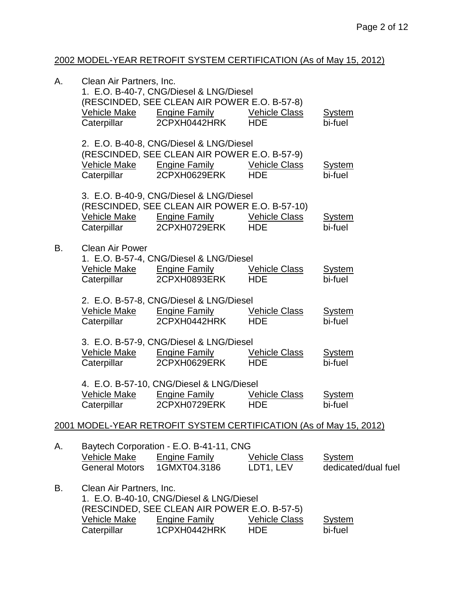# 2002 MODEL-YEAR RETROFIT SYSTEM CERTIFICATION (As of May 15, 2012)

| А. | Clean Air Partners, Inc.                                       | 1. E.O. B-40-7, CNG/Diesel & LNG/Diesel<br>(RESCINDED, SEE CLEAN AIR POWER E.O. B-57-8)                                          |                                    |                                      |
|----|----------------------------------------------------------------|----------------------------------------------------------------------------------------------------------------------------------|------------------------------------|--------------------------------------|
|    | Vehicle Make<br>Caterpillar                                    | <b>Engine Family</b><br>2CPXH0442HRK                                                                                             | <b>Vehicle Class</b><br><b>HDE</b> | <b>System</b><br>bi-fuel             |
|    | Vehicle Make<br>Caterpillar                                    | 2. E.O. B-40-8, CNG/Diesel & LNG/Diesel<br>(RESCINDED, SEE CLEAN AIR POWER E.O. B-57-9)<br>Engine Family<br>2CPXH0629ERK         | <b>Vehicle Class</b><br><b>HDE</b> | <b>System</b><br>bi-fuel             |
|    | Vehicle Make<br>Caterpillar                                    | 3. E.O. B-40-9, CNG/Diesel & LNG/Diesel<br>(RESCINDED, SEE CLEAN AIR POWER E.O. B-57-10)<br><u>Engine Family</u><br>2CPXH0729ERK | <b>Vehicle Class</b><br><b>HDE</b> | <b>System</b><br>bi-fuel             |
| В. | <b>Clean Air Power</b><br>Caterpillar                          | 1. E.O. B-57-4, CNG/Diesel & LNG/Diesel<br><u>Vehicle Make Engine Family</u><br>2CPXH0893ERK                                     | <b>Vehicle Class</b><br><b>HDE</b> | <b>System</b><br>bi-fuel             |
|    | Caterpillar                                                    | 2. E.O. B-57-8, CNG/Diesel & LNG/Diesel<br>Vehicle Make Engine Family<br>2CPXH0442HRK                                            | <b>Vehicle Class</b><br><b>HDE</b> | <b>System</b><br>bi-fuel             |
|    | Vehicle Make Engine Family<br>Caterpillar                      | 3. E.O. B-57-9, CNG/Diesel & LNG/Diesel<br>2CPXH0629ERK                                                                          | <b>Vehicle Class</b><br><b>HDE</b> | <b>System</b><br>bi-fuel             |
|    | Caterpillar                                                    | 4. E.O. B-57-10, CNG/Diesel & LNG/Diesel<br><u>Vehicle Make Engine Family</u><br>2CPXH0729ERK                                    | <b>Vehicle Class</b><br><b>HDE</b> | <b>System</b><br>bi-fuel             |
|    |                                                                | 2001 MODEL-YEAR RETROFIT SYSTEM CERTIFICATION (As of May 15, 2012)                                                               |                                    |                                      |
| А. | Vehicle Make<br><b>General Motors</b>                          | Baytech Corporation - E.O. B-41-11, CNG<br><b>Engine Family</b><br>1GMXT04.3186                                                  | <b>Vehicle Class</b><br>LDT1, LEV  | <b>System</b><br>dedicated/dual fuel |
| В. | Clean Air Partners, Inc.<br><u>Vehicle Make</u><br>Caterpillar | 1. E.O. B-40-10, CNG/Diesel & LNG/Diesel<br>(RESCINDED, SEE CLEAN AIR POWER E.O. B-57-5)<br><b>Engine Family</b><br>1CPXH0442HRK | <b>Vehicle Class</b><br><b>HDE</b> | <b>System</b><br>bi-fuel             |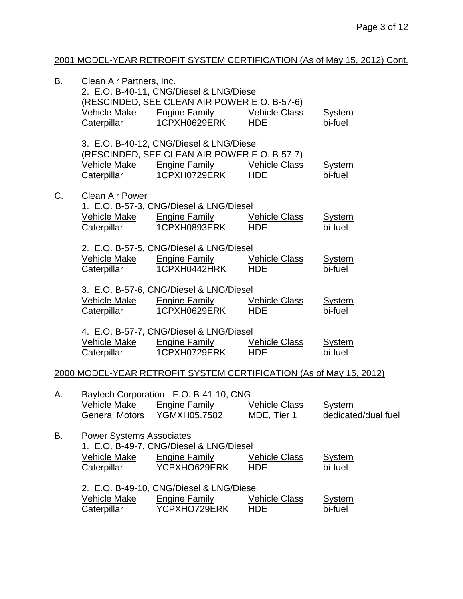## 2001 MODEL-YEAR RETROFIT SYSTEM CERTIFICATION (As of May 15, 2012) Cont.

| В. | Clean Air Partners, Inc.<br>Vehicle Make<br>Caterpillar             | 2. E.O. B-40-11, CNG/Diesel & LNG/Diesel<br>(RESCINDED, SEE CLEAN AIR POWER E.O. B-57-6)<br><b>Engine Family</b><br>1CPXH0629ERK | <b>Vehicle Class</b><br><b>HDE</b>  | <b>System</b><br>bi-fuel             |
|----|---------------------------------------------------------------------|----------------------------------------------------------------------------------------------------------------------------------|-------------------------------------|--------------------------------------|
|    | Vehicle Make<br>Caterpillar                                         | 3. E.O. B-40-12, CNG/Diesel & LNG/Diesel<br>(RESCINDED, SEE CLEAN AIR POWER E.O. B-57-7)<br><b>Engine Family</b><br>1CPXH0729ERK | <b>Vehicle Class</b><br><b>HDE</b>  | <b>System</b><br>bi-fuel             |
| C. | <b>Clean Air Power</b><br>Vehicle Make Engine Family<br>Caterpillar | 1. E.O. B-57-3, CNG/Diesel & LNG/Diesel<br>1CPXH0893ERK                                                                          | <b>Vehicle Class</b><br><b>HDE</b>  | <b>System</b><br>bi-fuel             |
|    | Vehicle Make<br>Caterpillar                                         | 2. E.O. B-57-5, CNG/Diesel & LNG/Diesel<br>Engine Family<br>1CPXH0442HRK                                                         | <b>Vehicle Class</b><br><b>HDE</b>  | <b>System</b><br>bi-fuel             |
|    | Vehicle Make<br>Caterpillar                                         | 3. E.O. B-57-6, CNG/Diesel & LNG/Diesel<br><b>Engine Family</b><br>1CPXH0629ERK                                                  | Vehicle Class<br><b>HDE</b>         | <b>System</b><br>bi-fuel             |
|    | Vehicle Make<br>Caterpillar                                         | 4. E.O. B-57-7, CNG/Diesel & LNG/Diesel<br><b>Engine Family</b><br>1CPXH0729ERK                                                  | <b>Vehicle Class</b><br><b>HDE</b>  | <b>System</b><br>bi-fuel             |
|    |                                                                     | 2000 MODEL-YEAR RETROFIT SYSTEM CERTIFICATION (As of May 15, 2012)                                                               |                                     |                                      |
| Α. | <b>Vehicle Make</b>                                                 | Baytech Corporation - E.O. B-41-10, CNG<br><b>Engine Family</b><br>General Motors YGMXH05.7582                                   | <b>Vehicle Class</b><br>MDE, Tier 1 | <b>System</b><br>dedicated/dual fuel |
| В. | <b>Power Systems Associates</b><br>Vehicle Make<br>Caterpillar      | 1. E.O. B-49-7, CNG/Diesel & LNG/Diesel<br><b>Engine Family</b><br>YCPXHO629ERK                                                  | <b>Vehicle Class</b><br><b>HDE</b>  | <b>System</b><br>bi-fuel             |
|    | Vehicle Make<br>Caterpillar                                         | 2. E.O. B-49-10, CNG/Diesel & LNG/Diesel<br><b>Engine Family</b><br>YCPXHO729ERK                                                 | <b>Vehicle Class</b><br><b>HDE</b>  | <b>System</b><br>bi-fuel             |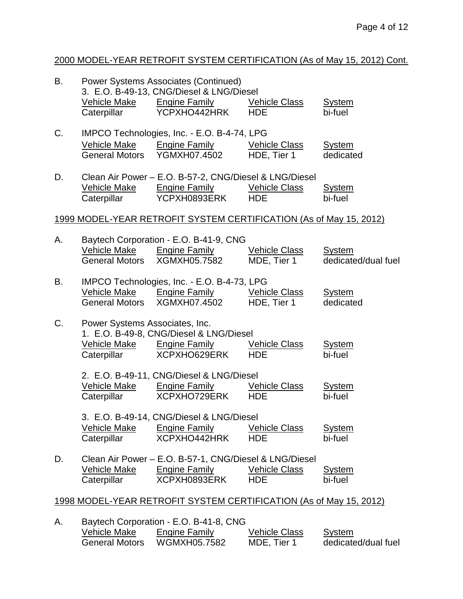## 2000 MODEL-YEAR RETROFIT SYSTEM CERTIFICATION (As of May 15, 2012) Cont.

| В. |                                                               | <b>Power Systems Associates (Continued)</b><br>3. E.O. B-49-13, CNG/Diesel & LNG/Diesel        |                                     |                               |
|----|---------------------------------------------------------------|------------------------------------------------------------------------------------------------|-------------------------------------|-------------------------------|
|    | Vehicle Make<br>Caterpillar                                   | Engine Family<br>YCPXHO442HRK                                                                  | <b>Vehicle Class</b><br><b>HDE</b>  | System<br>bi-fuel             |
| C. | Vehicle Make<br><b>General Motors</b>                         | IMPCO Technologies, Inc. - E.O. B-4-74, LPG<br><b>Engine Family</b><br>YGMXH07.4502            | <b>Vehicle Class</b><br>HDE, Tier 1 | <b>System</b><br>dedicated    |
| D. | Vehicle Make<br>Caterpillar                                   | Clean Air Power - E.O. B-57-2, CNG/Diesel & LNG/Diesel<br><b>Engine Family</b><br>YCPXH0893ERK | <b>Vehicle Class</b><br><b>HDE</b>  | <b>System</b><br>bi-fuel      |
|    |                                                               | 1999 MODEL-YEAR RETROFIT SYSTEM CERTIFICATION (As of May 15, 2012)                             |                                     |                               |
| А. | Vehicle Make<br><b>General Motors</b>                         | Baytech Corporation - E.O. B-41-9, CNG<br><b>Engine Family</b><br>XGMXH05.7582                 | Vehicle Class<br>MDE, Tier 1        | System<br>dedicated/dual fuel |
| В. | Vehicle Make<br><b>General Motors</b>                         | IMPCO Technologies, Inc. - E.O. B-4-73, LPG<br><b>Engine Family</b><br>XGMXH07.4502            | <b>Vehicle Class</b><br>HDE, Tier 1 | System<br>dedicated           |
| C. | Power Systems Associates, Inc.<br>Vehicle Make<br>Caterpillar | 1. E.O. B-49-8, CNG/Diesel & LNG/Diesel<br><b>Engine Family</b><br>XCPXHO629ERK                | <b>Vehicle Class</b><br><b>HDE</b>  | System<br>bi-fuel             |
|    | Vehicle Make<br>Caterpillar                                   | 2. E.O. B-49-11, CNG/Diesel & LNG/Diesel<br><b>Engine Family</b><br>XCPXHO729ERK               | <b>Vehicle Class</b><br><b>HDE</b>  | <b>System</b><br>bi-fuel      |
|    | Vehicle Make<br>Caterpillar                                   | 3. E.O. B-49-14, CNG/Diesel & LNG/Diesel<br><b>Engine Family</b><br>XCPXHO442HRK               | <b>Vehicle Class</b><br><b>HDE</b>  | <b>System</b><br>bi-fuel      |
| D. | <b>Vehicle Make</b><br>Caterpillar                            | Clean Air Power - E.O. B-57-1, CNG/Diesel & LNG/Diesel<br><b>Engine Family</b><br>XCPXH0893ERK | <b>Vehicle Class</b><br><b>HDE</b>  | <b>System</b><br>bi-fuel      |
|    |                                                               | 1998 MODEL-YEAR RETROFIT SYSTEM CERTIFICATION (As of May 15, 2012)                             |                                     |                               |
|    |                                                               |                                                                                                |                                     |                               |

|                       | Baytech Corporation - E.O. B-41-8, CNG |                      |                     |  |  |
|-----------------------|----------------------------------------|----------------------|---------------------|--|--|
| Vehicle Make          | Engine Family                          | <b>Vehicle Class</b> | System              |  |  |
| <b>General Motors</b> | WGMXH05.7582                           | MDE, Tier 1          | dedicated/dual fuel |  |  |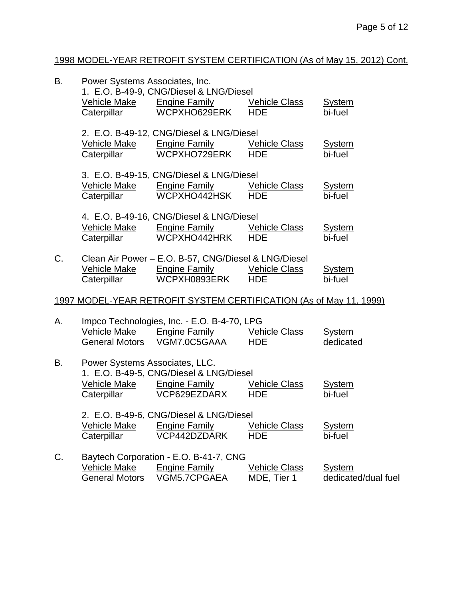## 1998 MODEL-YEAR RETROFIT SYSTEM CERTIFICATION (As of May 15, 2012) Cont.

| В. | Power Systems Associates, Inc.                                | 1. E.O. B-49-9, CNG/Diesel & LNG/Diesel                                                              |                                     |                                      |
|----|---------------------------------------------------------------|------------------------------------------------------------------------------------------------------|-------------------------------------|--------------------------------------|
|    | Vehicle Make<br>Caterpillar                                   | <b>Engine Family</b><br>WCPXHO629ERK                                                                 | <b>Vehicle Class</b><br><b>HDE</b>  | <b>System</b><br>bi-fuel             |
|    | Vehicle Make Engine Family<br>Caterpillar                     | 2. E.O. B-49-12, CNG/Diesel & LNG/Diesel<br>WCPXHO729ERK                                             | Vehicle Class<br><b>HDE</b>         | <b>System</b><br>bi-fuel             |
|    | Caterpillar                                                   | 3. E.O. B-49-15, CNG/Diesel & LNG/Diesel<br>Vehicle Make Engine Family Vehicle Class<br>WCPXHO442HSK | <b>HDE</b>                          | <b>System</b><br>bi-fuel             |
|    | Caterpillar                                                   | 4. E.O. B-49-16, CNG/Diesel & LNG/Diesel<br>Vehicle Make Engine Family<br>WCPXHO442HRK               | <b>Vehicle Class</b><br><b>HDE</b>  | System<br>bi-fuel                    |
| C. | Vehicle Make<br>Caterpillar                                   | Clean Air Power - E.O. B-57, CNG/Diesel & LNG/Diesel<br><b>Engine Family</b><br>WCPXH0893ERK         | <b>Vehicle Class</b><br><b>HDE</b>  | <b>System</b><br>bi-fuel             |
|    |                                                               | 1997 MODEL-YEAR RETROFIT SYSTEM CERTIFICATION (As of May 11, 1999)                                   |                                     |                                      |
| Α. | Vehicle Make<br><b>General Motors</b>                         | Impco Technologies, Inc. - E.O. B-4-70, LPG<br>Engine Family Vehicle Class<br>VGM7.0C5GAAA           | <b>HDE</b>                          | System<br>dedicated                  |
| В. | Power Systems Associates, LLC.<br>Vehicle Make<br>Caterpillar | 1. E.O. B-49-5, CNG/Diesel & LNG/Diesel<br><b>Engine Family</b><br>VCP629EZDARX                      | <b>Vehicle Class</b><br><b>HDE</b>  | <b>System</b><br>bi-fuel             |
|    | <b>Vehicle Make</b><br>Caterpillar                            | 2. E.O. B-49-6, CNG/Diesel & LNG/Diesel<br><b>Engine Family</b><br>VCP442DZDARK                      | <b>Vehicle Class</b><br><b>HDE</b>  | <b>System</b><br>bi-fuel             |
| C. | <b>Vehicle Make</b><br><b>General Motors</b>                  | Baytech Corporation - E.O. B-41-7, CNG<br><b>Engine Family</b><br>VGM5.7CPGAEA                       | <b>Vehicle Class</b><br>MDE, Tier 1 | <b>System</b><br>dedicated/dual fuel |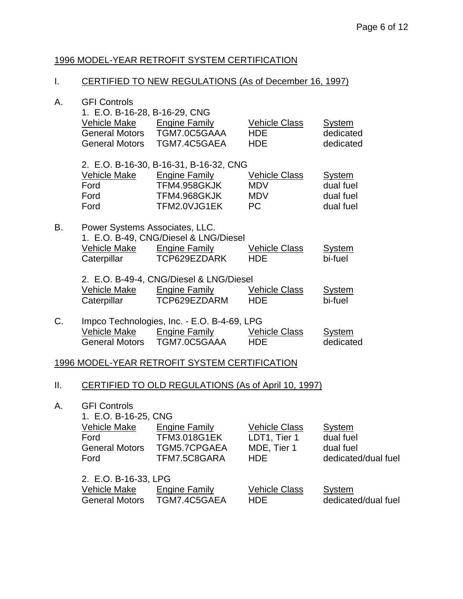#### 1996 MODEL-YEAR RETROFIT SYSTEM CERTIFICATION

#### I. CERTIFIED TO NEW REGULATIONS (As of December 16, 1997)

#### A. GFI Controls

|    | 1. E.O. B-16-28, B-16-29, CNG<br>Vehicle Make<br><b>General Motors</b><br><b>General Motors</b> | <b>Engine Family</b><br>TGM7.0C5GAAA<br>TGM7.4C5GAEA | <b>Vehicle Class</b><br><b>HDE</b><br><b>HDE</b> | System<br>dedicated<br>dedicated |  |  |
|----|-------------------------------------------------------------------------------------------------|------------------------------------------------------|--------------------------------------------------|----------------------------------|--|--|
|    |                                                                                                 | 2. E.O. B-16-30, B-16-31, B-16-32, CNG               |                                                  |                                  |  |  |
|    | Vehicle Make                                                                                    | Engine Family                                        | <b>Vehicle Class</b>                             | System                           |  |  |
|    | Ford                                                                                            | <b>TFM4.958GKJK</b>                                  | <b>MDV</b>                                       | dual fuel                        |  |  |
|    | Ford                                                                                            | <b>TFM4.968GKJK</b>                                  | <b>MDV</b>                                       | dual fuel                        |  |  |
|    | Ford                                                                                            | TFM2.0VJG1EK                                         | <b>PC</b>                                        | dual fuel                        |  |  |
| В. | Power Systems Associates, LLC.                                                                  |                                                      |                                                  |                                  |  |  |
|    |                                                                                                 | 1. E.O. B-49, CNG/Diesel & LNG/Diesel                |                                                  |                                  |  |  |
|    | Vehicle Make                                                                                    | Engine Family                                        | <b>Vehicle Class</b>                             | System                           |  |  |
|    | Caterpillar                                                                                     | TCP629EZDARK                                         | <b>HDE</b>                                       | bi-fuel                          |  |  |
|    |                                                                                                 | 2. E.O. B-49-4, CNG/Diesel & LNG/Diesel              |                                                  |                                  |  |  |
|    |                                                                                                 |                                                      |                                                  |                                  |  |  |

| Vehicle Make | <b>Engine Family</b> | <b>Vehicle Class</b> | System  |
|--------------|----------------------|----------------------|---------|
| Caterpillar  | TCP629EZDARM         | HDE.                 | bi-fuel |

C. Impco Technologies, Inc. - E.O. B-4-69, LPG Vehicle Make Engine Family Vehicle Class System<br>General Motors TGM7.0C5GAAA HDE dedicated General Motors TGM7.0C5GAAA

#### 1996 MODEL-YEAR RETROFIT SYSTEM CERTIFICATION

#### II. CERTIFIED TO OLD REGULATIONS (As of April 10, 1997)

A. GFI Controls

| 1. E.O. B-16-25, CNG  |                      |                      |                     |
|-----------------------|----------------------|----------------------|---------------------|
| Vehicle Make          | Engine Family        | <b>Vehicle Class</b> | System              |
| Ford                  | <b>TFM3.018G1EK</b>  | LDT1, Tier 1         | dual fuel           |
| <b>General Motors</b> | TGM5.7CPGAEA         | MDE, Tier 1          | dual fuel           |
| Ford                  | TFM7.5C8GARA         | <b>HDE</b>           | dedicated/dual fuel |
| 2. E.O. B-16-33, LPG  |                      |                      |                     |
| Vehicle Make          | <b>Engine Family</b> | <b>Vehicle Class</b> | System              |
| <b>General Motors</b> | TGM7.4C5GAEA         | <b>HDE</b>           | dedicated/dual fuel |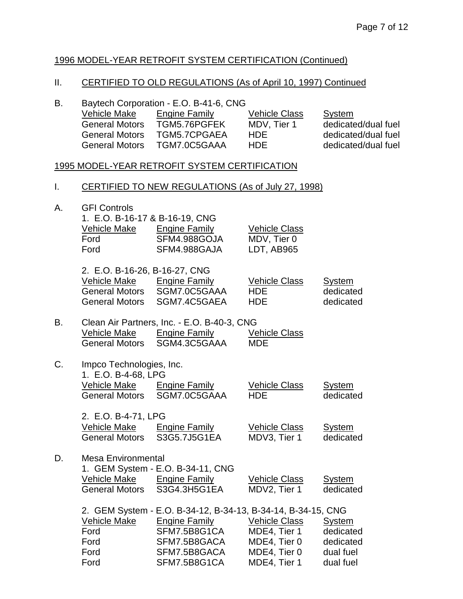#### 1996 MODEL-YEAR RETROFIT SYSTEM CERTIFICATION (Continued)

#### II. CERTIFIED TO OLD REGULATIONS (As of April 10, 1997) Continued

B. Baytech Corporation - E.O. B-41-6, CNG Vehicle Make Engine Family Vehicle Class System General Motors TGM5.76PGFEK MDV, Tier 1 dedicated/dual fuel General Motors TGM5.7CPGAEA HDE dedicated/dual fuel General Motors TGM7.0C5GAAA HDE dedicated/dual fuel

#### 1995 MODEL-YEAR RETROFIT SYSTEM CERTIFICATION

- I. CERTIFIED TO NEW REGULATIONS (As of July 27, 1998)
- A. GFI Controls

|              | 1. E.O. B-16-17 & B-16-19, CNG |                      |
|--------------|--------------------------------|----------------------|
| Vehicle Make | Engine Family                  | <b>Vehicle Class</b> |
| Ford         | SFM4.988GOJA                   | MDV, Tier 0          |
| Ford         | SFM4.988GAJA                   | LDT, AB965           |

| 2. E.O. B-16-26, B-16-27, CNG |                      |           |
|-------------------------------|----------------------|-----------|
| Engine Family                 | <b>Vehicle Class</b> | System    |
| SGM7.0C5GAAA                  | <b>HDE</b>           | dedicated |
| General Motors SGM7.4C5GAEA   | <b>HDE</b>           | dedicated |
|                               |                      |           |

| В. |                       | Clean Air Partners, Inc. - E.O. B-40-3, CNG |                      |
|----|-----------------------|---------------------------------------------|----------------------|
|    | Vehicle Make          | <b>Engine Family</b>                        | <b>Vehicle Class</b> |
|    | <b>General Motors</b> | SGM4.3C5GAAA                                | MDE.                 |

C. Impco Technologies, Inc. 1. E.O. B-4-68, LPG Vehicle Make Engine Family Vehicle Class System General Motors SGM7.0C5GAAA HDE dedicated

2. E.O. B-4-71, LPG Vehicle Make Langine Family Mehicle Class System<br>
General Motors S3G5.7J5G1EA MDV3. Tier 1 dedicate S3G5.7J5G1EA MDV3, Tier 1 dedicated

D. Mesa Environmental 1. GEM System - E.O. B-34-11, CNG Vehicle Make Engine Family Vehicle Class System General Motors S3G4.3H5G1EA MDV2, Tier 1 dedicated

| 2. GEM System - E.O. B-34-12, B-34-13, B-34-14, B-34-15, CNG |               |                      |           |  |
|--------------------------------------------------------------|---------------|----------------------|-----------|--|
| <b>Vehicle Make</b>                                          | Engine Family | <b>Vehicle Class</b> | System    |  |
| Ford                                                         | SFM7.5B8G1CA  | MDE4, Tier 1         | dedicated |  |
| Ford                                                         | SFM7.5B8GACA  | MDE4, Tier 0         | dedicated |  |
| Ford                                                         | SFM7.5B8GACA  | MDE4, Tier 0         | dual fuel |  |
| Ford                                                         | SFM7.5B8G1CA  | MDE4, Tier 1         | dual fuel |  |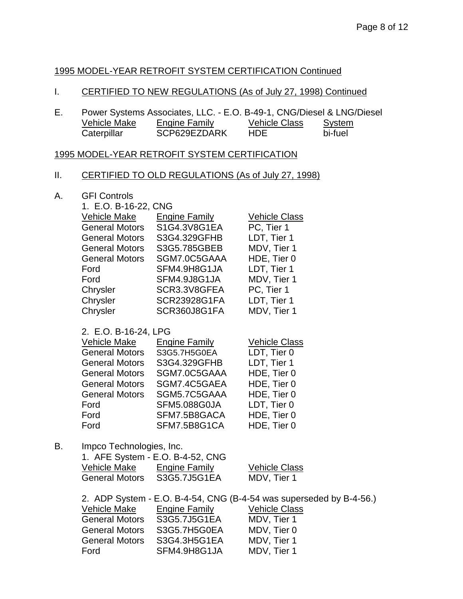#### I. CERTIFIED TO NEW REGULATIONS (As of July 27, 1998) Continued

E. Power Systems Associates, LLC. - E.O. B-49-1, CNG/Diesel & LNG/Diesel<br>
Vehicle Make Engine Family Vehicle Class System Vehicle Make Engine Family Vehicle Class System<br>Caterpillar SCP629EZDARK HDE bi-fuel SCP629EZDARK

#### 1995 MODEL-YEAR RETROFIT SYSTEM CERTIFICATION

#### II. CERTIFIED TO OLD REGULATIONS (As of July 27, 1998)

A. GFI Controls

| 1. E.O. B-16-22, CNG  |                      |                      |  |  |
|-----------------------|----------------------|----------------------|--|--|
| Vehicle Make          | <b>Engine Family</b> | <b>Vehicle Class</b> |  |  |
| <b>General Motors</b> | S1G4.3V8G1EA         | PC, Tier 1           |  |  |
| <b>General Motors</b> | S3G4.329GFHB         | LDT, Tier 1          |  |  |
| <b>General Motors</b> | S3G5.785GBEB         | MDV, Tier 1          |  |  |
| <b>General Motors</b> | SGM7.0C5GAAA         | HDE, Tier 0          |  |  |
| Ford                  | SFM4.9H8G1JA         | LDT, Tier 1          |  |  |
| Ford                  | SFM4.9J8G1JA         | MDV, Tier 1          |  |  |
| Chrysler              | SCR3.3V8GFEA         | PC, Tier 1           |  |  |
| Chrysler              | <b>SCR23928G1FA</b>  | LDT, Tier 1          |  |  |
| Chrysler              | SCR360J8G1FA         | MDV, Tier 1          |  |  |
|                       |                      |                      |  |  |

#### 2. E.O. B-16-24, LPG

| Vehicle Make          | <b>Engine Family</b> | <b>Vehicle Class</b> |
|-----------------------|----------------------|----------------------|
| <b>General Motors</b> | S3G5.7H5G0EA         | LDT, Tier 0          |
| <b>General Motors</b> | S3G4.329GFHB         | LDT, Tier 1          |
| <b>General Motors</b> | SGM7.0C5GAAA         | HDE, Tier 0          |
| <b>General Motors</b> | SGM7.4C5GAEA         | HDE, Tier 0          |
| <b>General Motors</b> | SGM5.7C5GAAA         | HDE, Tier 0          |
| Ford                  | <b>SFM5.088G0JA</b>  | LDT, Tier 0          |
| Ford                  | SFM7.5B8GACA         | HDE, Tier 0          |
| Ford                  | SFM7.5B8G1CA         | HDE, Tier 0          |

B. Impco Technologies, Inc.

| 1. AFE System - E.O. B-4-52, CNG |                      |                      |  |  |
|----------------------------------|----------------------|----------------------|--|--|
| Vehicle Make                     | <b>Engine Family</b> | <b>Vehicle Class</b> |  |  |
| <b>General Motors</b>            | S3G5.7J5G1EA         | MDV, Tier 1          |  |  |

|                       |                      | 2. ADP System - E.O. B-4-54, CNG (B-4-54 was superseded by B-4-56.) |
|-----------------------|----------------------|---------------------------------------------------------------------|
| Vehicle Make          | <b>Engine Family</b> | <b>Vehicle Class</b>                                                |
| <b>General Motors</b> | S3G5.7J5G1EA         | MDV, Tier 1                                                         |
| <b>General Motors</b> | S3G5.7H5G0EA         | MDV, Tier 0                                                         |
| <b>General Motors</b> | S3G4.3H5G1EA         | MDV, Tier 1                                                         |
| Ford                  | SFM4.9H8G1JA         | MDV, Tier 1                                                         |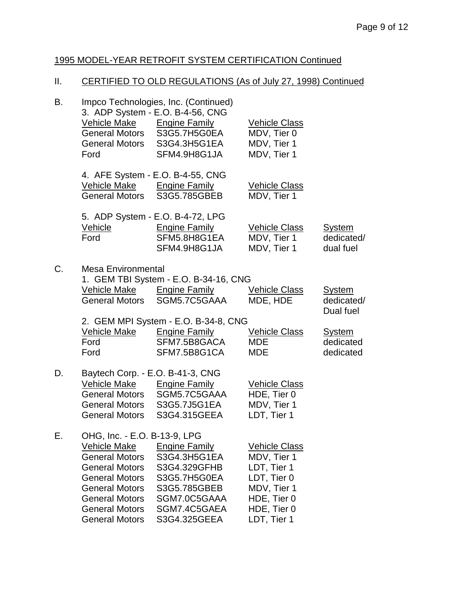## II. CERTIFIED TO OLD REGULATIONS (As of July 27, 1998) Continued

| В. | Vehicle Make<br>General Motors<br><b>General Motors</b><br>Ford                                                                                                                                                                    | Impco Technologies, Inc. (Continued)<br>3. ADP System - E.O. B-4-56, CNG<br><b>Engine Family</b><br>S3G5.7H5G0EA<br>S3G4.3H5G1EA<br>SFM4.9H8G1JA | <b>Vehicle Class</b><br>MDV, Tier 0<br>MDV, Tier 1<br>MDV, Tier 1                                                             |                                          |
|----|------------------------------------------------------------------------------------------------------------------------------------------------------------------------------------------------------------------------------------|--------------------------------------------------------------------------------------------------------------------------------------------------|-------------------------------------------------------------------------------------------------------------------------------|------------------------------------------|
|    | Vehicle Make Engine Family<br><b>General Motors</b>                                                                                                                                                                                | 4. AFE System - E.O. B-4-55, CNG<br>S3G5.785GBEB                                                                                                 | <b>Vehicle Class</b><br>MDV, Tier 1                                                                                           |                                          |
|    | Vehicle<br>Ford                                                                                                                                                                                                                    | 5. ADP System - E.O. B-4-72, LPG<br><b>Engine Family</b><br>SFM5.8H8G1EA<br>SFM4.9H8G1JA                                                         | <b>Vehicle Class</b><br>MDV, Tier 1<br>MDV, Tier 1                                                                            | System<br>dedicated/<br>dual fuel        |
| C. | <b>Mesa Environmental</b><br>Vehicle Make Engine Family<br><b>General Motors</b>                                                                                                                                                   | 1. GEM TBI System - E.O. B-34-16, CNG<br>SGM5.7C5GAAA                                                                                            | <b>Vehicle Class</b><br>MDE, HDE                                                                                              | <b>System</b><br>dedicated/<br>Dual fuel |
|    | Vehicle Make<br>Ford<br>Ford                                                                                                                                                                                                       | 2. GEM MPI System - E.O. B-34-8, CNG<br><b>Engine Family</b><br>SFM7.5B8GACA<br>SFM7.5B8G1CA                                                     | <b>Vehicle Class</b><br><b>MDE</b><br><b>MDE</b>                                                                              | <b>System</b><br>dedicated<br>dedicated  |
| D. | Baytech Corp. - E.O. B-41-3, CNG<br>Vehicle Make Engine Family<br>General Motors<br><b>General Motors</b>                                                                                                                          | General Motors SGM5.7C5GAAA<br>S3G5.7J5G1EA<br>S3G4.315GEEA                                                                                      | <b>Vehicle Class</b><br>HDE, Tier 0<br>MDV, Tier 1<br>LDT, Tier 1                                                             |                                          |
| Е. | OHG, Inc. - E.O. B-13-9, LPG<br><b>Vehicle Make</b><br><b>General Motors</b><br><b>General Motors</b><br><b>General Motors</b><br><b>General Motors</b><br><b>General Motors</b><br><b>General Motors</b><br><b>General Motors</b> | <b>Engine Family</b><br>S3G4.3H5G1EA<br>S3G4.329GFHB<br>S3G5.7H5G0EA<br>S3G5.785GBEB<br>SGM7.0C5GAAA<br>SGM7.4C5GAEA<br>S3G4.325GEEA             | <b>Vehicle Class</b><br>MDV, Tier 1<br>LDT, Tier 1<br>LDT, Tier 0<br>MDV, Tier 1<br>HDE, Tier 0<br>HDE, Tier 0<br>LDT, Tier 1 |                                          |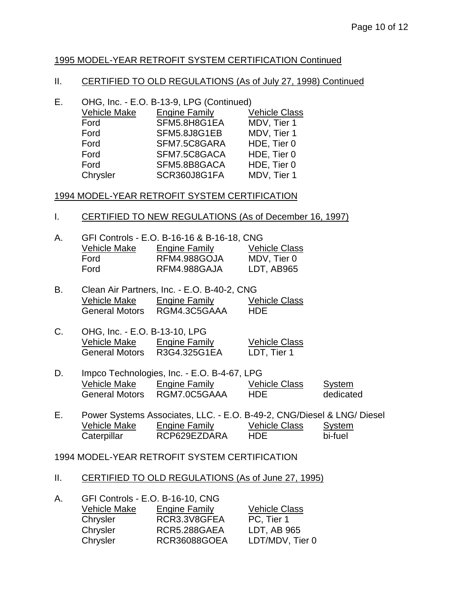#### II. CERTIFIED TO OLD REGULATIONS (As of July 27, 1998) Continued

E. OHG, Inc. - E.O. B-13-9, LPG (Continued) Vehicle Make Engine Family Vehicle Class Ford SFM5.8H8G1EA MDV, Tier 1<br>Ford SFM5.8J8G1EB MDV, Tier 1 Ford SFM5.8J8G1EB MDV, Tier 1<br>Ford SFM7.5C8GARA HDE, Tier 0 Ford SFM7.5C8GARA Ford SFM7.5C8GACA HDE, Tier 0 Ford SFM5.8B8GACA HDE, Tier 0 Chrysler SCR360J8G1FA MDV, Tier 1

#### 1994 MODEL-YEAR RETROFIT SYSTEM CERTIFICATION

#### I. CERTIFIED TO NEW REGULATIONS (As of December 16, 1997)

| A. |              | GFI Controls - E.O. B-16-16 & B-16-18, CNG |                      |  |  |
|----|--------------|--------------------------------------------|----------------------|--|--|
|    | Vehicle Make | Engine Family                              | <b>Vehicle Class</b> |  |  |
|    | Ford         | RFM4.988GOJA                               | MDV, Tier 0          |  |  |
|    | Ford         | RFM4.988GAJA                               | LDT, AB965           |  |  |

- B. Clean Air Partners, Inc. E.O. B-40-2, CNG Vehicle Make Engine Family Vehicle Class General Motors RGM4.3C5GAAA HDE
- C. OHG, Inc. E.O. B-13-10, LPG Vehicle Make Engine Family Vehicle Class General Motors R3G4.325G1EA LDT, Tier 1
- D. Impco Technologies, Inc. E.O. B-4-67, LPG Vehicle Make Engine Family Vehicle Class System General Motors RGM7.0C5GAAA HDE dedicated
- E. Power Systems Associates, LLC. E.O. B-49-2, CNG/Diesel & LNG/ Diesel Vehicle Make Engine Family Vehicle Class System Caterpillar RCP629EZDARA HDE bi-fuel

#### 1994 MODEL-YEAR RETROFIT SYSTEM CERTIFICATION

II. CERTIFIED TO OLD REGULATIONS (As of June 27, 1995)

| <b>Vehicle Make</b> | <b>Engine Family</b> | <b>Vehicle Class</b>             |
|---------------------|----------------------|----------------------------------|
| Chrysler            | RCR3.3V8GFEA         | PC, Tier 1                       |
| Chrysler            | RCR5.288GAEA         | LDT, AB 965                      |
| Chrysler            | <b>RCR36088GOEA</b>  | LDT/MDV, Tier 0                  |
|                     |                      | GFI Controls - E.O. B-16-10, CNG |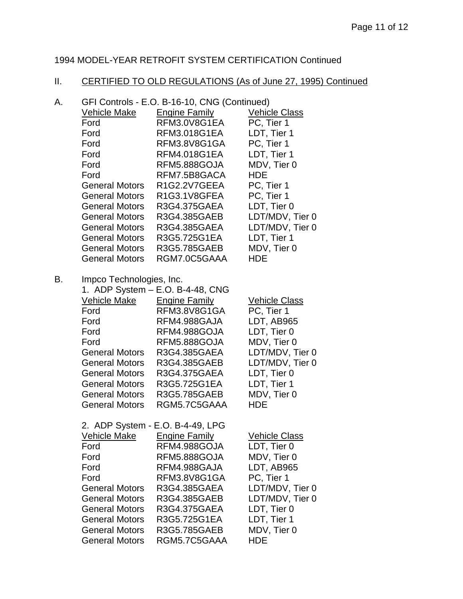### II. CERTIFIED TO OLD REGULATIONS (As of June 27, 1995) Continued

| GFI Controls - E.O. B-16-10, CNG (Continued)<br>А.                                                           |                 |
|--------------------------------------------------------------------------------------------------------------|-----------------|
| <b>Engine Family</b><br>Vehicle Class<br><b>Vehicle Make</b>                                                 |                 |
| PC, Tier 1<br>RFM3.0V8G1EA<br>Ford                                                                           |                 |
| RFM3.018G1EA<br>LDT, Tier 1<br>Ford                                                                          |                 |
| PC, Tier 1<br>Ford<br>RFM3.8V8G1GA                                                                           |                 |
| LDT, Tier 1<br>Ford<br>RFM4.018G1EA                                                                          |                 |
| Ford<br>RFM5.888GOJA<br>MDV, Tier 0                                                                          |                 |
| Ford<br>RFM7.5B8GACA<br><b>HDE</b>                                                                           |                 |
| PC, Tier 1<br>R1G2.2V7GEEA<br><b>General Motors</b>                                                          |                 |
| PC, Tier 1<br><b>General Motors</b><br>R1G3.1V8GFEA                                                          |                 |
| LDT, Tier 0<br>R3G4.375GAEA<br><b>General Motors</b>                                                         |                 |
| R3G4.385GAEB<br><b>General Motors</b>                                                                        | LDT/MDV, Tier 0 |
| <b>General Motors</b><br>R3G4.385GAEA                                                                        | LDT/MDV, Tier 0 |
| LDT, Tier 1<br>R3G5.725G1EA<br><b>General Motors</b>                                                         |                 |
| MDV, Tier 0<br><b>General Motors</b><br>R3G5.785GAEB                                                         |                 |
| <b>General Motors</b><br>RGM7.0C5GAAA<br><b>HDE</b>                                                          |                 |
| В.                                                                                                           |                 |
| Impco Technologies, Inc.<br>1. ADP System - E.O. B-4-48, CNG                                                 |                 |
| <b>Engine Family</b><br>Vehicle Make<br><b>Vehicle Class</b>                                                 |                 |
| RFM3.8V8G1GA<br>PC, Tier 1<br>Ford                                                                           |                 |
| LDT, AB965<br>Ford<br>RFM4.988GAJA                                                                           |                 |
| LDT, Tier 0<br>Ford<br>RFM4.988GOJA                                                                          |                 |
| Ford<br>RFM5.888GOJA<br>MDV, Tier 0                                                                          |                 |
| <b>General Motors</b><br>R3G4.385GAEA                                                                        | LDT/MDV, Tier 0 |
| R3G4.385GAEB<br><b>General Motors</b>                                                                        | LDT/MDV, Tier 0 |
| LDT, Tier 0<br>R3G4.375GAEA<br><b>General Motors</b>                                                         |                 |
| LDT, Tier 1<br>R3G5.725G1EA<br><b>General Motors</b>                                                         |                 |
| MDV, Tier 0<br><b>General Motors</b><br>R3G5.785GAEB                                                         |                 |
| <b>General Motors</b><br>RGM5.7C5GAAA<br><b>HDE</b>                                                          |                 |
|                                                                                                              |                 |
| 2. ADP System - E.O. B-4-49, LPG                                                                             |                 |
| Vehicle Make Engine Family<br><b>Vehicle Class</b>                                                           |                 |
| RFM4.988GOJA<br>LDT, Tier 0<br>Ford                                                                          |                 |
| Ford<br>RFM5.888GOJA<br>Ford<br>RFM4.988GAJA                                                                 |                 |
| Ford                                                                                                         | MDV, Tier 0     |
| PC, Tier 1<br>RFM3.8V8G1GA                                                                                   | LDT, AB965      |
|                                                                                                              |                 |
| <b>General Motors</b><br>R3G4.385GAEA                                                                        | LDT/MDV, Tier 0 |
| <b>General Motors</b><br>R3G4.385GAEB                                                                        | LDT/MDV, Tier 0 |
| <b>General Motors</b><br>R3G4.375GAEA<br>LDT, Tier 0                                                         |                 |
| <b>General Motors</b><br>R3G5.725G1EA<br>LDT, Tier 1<br><b>General Motors</b><br>R3G5.785GAEB<br>MDV, Tier 0 |                 |